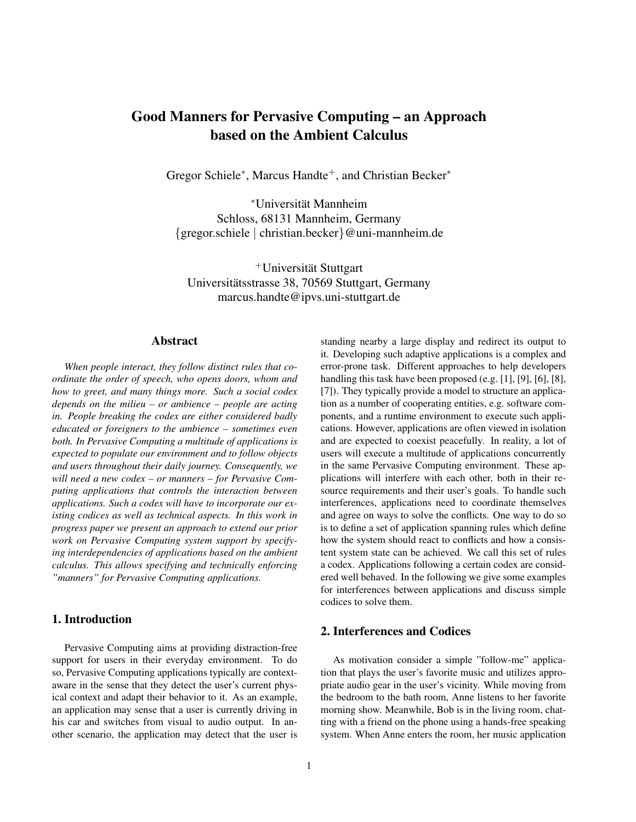# Good Manners for Pervasive Computing – an Approach based on the Ambient Calculus

Gregor Schiele<sup>\*</sup>, Marcus Handte<sup>+</sup>, and Christian Becker<sup>\*</sup>

<sup>∗</sup>Universitat Mannheim ¨ Schloss, 68131 Mannheim, Germany {gregor.schiele | christian.becker}@uni-mannheim.de

<sup>+</sup>Universität Stuttgart Universitatsstrasse 38, 70569 Stuttgart, Germany ¨ marcus.handte@ipvs.uni-stuttgart.de

#### Abstract

*When people interact, they follow distinct rules that coordinate the order of speech, who opens doors, whom and how to greet, and many things more. Such a social codex depends on the milieu – or ambience – people are acting in. People breaking the codex are either considered badly educated or foreigners to the ambience – sometimes even both. In Pervasive Computing a multitude of applications is expected to populate our environment and to follow objects and users throughout their daily journey. Consequently, we will need a new codex – or manners – for Pervasive Computing applications that controls the interaction between applications. Such a codex will have to incorporate our existing codices as well as technical aspects. In this work in progress paper we present an approach to extend our prior work on Pervasive Computing system support by specifying interdependencies of applications based on the ambient calculus. This allows specifying and technically enforcing "manners" for Pervasive Computing applications.*

# 1. Introduction

Pervasive Computing aims at providing distraction-free support for users in their everyday environment. To do so, Pervasive Computing applications typically are contextaware in the sense that they detect the user's current physical context and adapt their behavior to it. As an example, an application may sense that a user is currently driving in his car and switches from visual to audio output. In another scenario, the application may detect that the user is

standing nearby a large display and redirect its output to it. Developing such adaptive applications is a complex and error-prone task. Different approaches to help developers handling this task have been proposed (e.g. [1], [9], [6], [8], [7]). They typically provide a model to structure an application as a number of cooperating entities, e.g. software components, and a runtime environment to execute such applications. However, applications are often viewed in isolation and are expected to coexist peacefully. In reality, a lot of users will execute a multitude of applications concurrently in the same Pervasive Computing environment. These applications will interfere with each other, both in their resource requirements and their user's goals. To handle such interferences, applications need to coordinate themselves and agree on ways to solve the conflicts. One way to do so is to define a set of application spanning rules which define how the system should react to conflicts and how a consistent system state can be achieved. We call this set of rules a codex. Applications following a certain codex are considered well behaved. In the following we give some examples for interferences between applications and discuss simple codices to solve them.

### 2. Interferences and Codices

As motivation consider a simple "follow-me" application that plays the user's favorite music and utilizes appropriate audio gear in the user's vicinity. While moving from the bedroom to the bath room, Anne listens to her favorite morning show. Meanwhile, Bob is in the living room, chatting with a friend on the phone using a hands-free speaking system. When Anne enters the room, her music application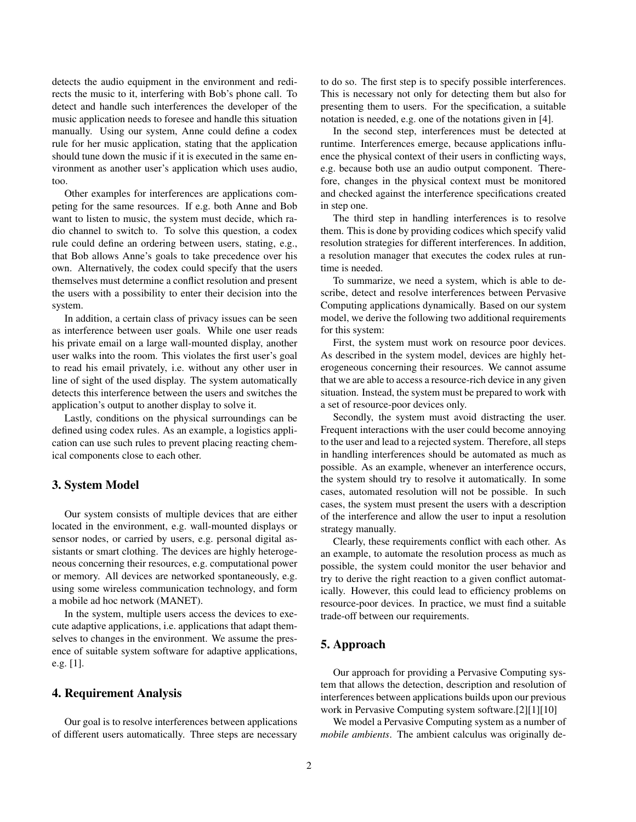detects the audio equipment in the environment and redirects the music to it, interfering with Bob's phone call. To detect and handle such interferences the developer of the music application needs to foresee and handle this situation manually. Using our system, Anne could define a codex rule for her music application, stating that the application should tune down the music if it is executed in the same environment as another user's application which uses audio, too.

Other examples for interferences are applications competing for the same resources. If e.g. both Anne and Bob want to listen to music, the system must decide, which radio channel to switch to. To solve this question, a codex rule could define an ordering between users, stating, e.g., that Bob allows Anne's goals to take precedence over his own. Alternatively, the codex could specify that the users themselves must determine a conflict resolution and present the users with a possibility to enter their decision into the system.

In addition, a certain class of privacy issues can be seen as interference between user goals. While one user reads his private email on a large wall-mounted display, another user walks into the room. This violates the first user's goal to read his email privately, i.e. without any other user in line of sight of the used display. The system automatically detects this interference between the users and switches the application's output to another display to solve it.

Lastly, conditions on the physical surroundings can be defined using codex rules. As an example, a logistics application can use such rules to prevent placing reacting chemical components close to each other.

#### 3. System Model

Our system consists of multiple devices that are either located in the environment, e.g. wall-mounted displays or sensor nodes, or carried by users, e.g. personal digital assistants or smart clothing. The devices are highly heterogeneous concerning their resources, e.g. computational power or memory. All devices are networked spontaneously, e.g. using some wireless communication technology, and form a mobile ad hoc network (MANET).

In the system, multiple users access the devices to execute adaptive applications, i.e. applications that adapt themselves to changes in the environment. We assume the presence of suitable system software for adaptive applications, e.g. [1].

#### 4. Requirement Analysis

Our goal is to resolve interferences between applications of different users automatically. Three steps are necessary to do so. The first step is to specify possible interferences. This is necessary not only for detecting them but also for presenting them to users. For the specification, a suitable notation is needed, e.g. one of the notations given in [4].

In the second step, interferences must be detected at runtime. Interferences emerge, because applications influence the physical context of their users in conflicting ways, e.g. because both use an audio output component. Therefore, changes in the physical context must be monitored and checked against the interference specifications created in step one.

The third step in handling interferences is to resolve them. This is done by providing codices which specify valid resolution strategies for different interferences. In addition, a resolution manager that executes the codex rules at runtime is needed.

To summarize, we need a system, which is able to describe, detect and resolve interferences between Pervasive Computing applications dynamically. Based on our system model, we derive the following two additional requirements for this system:

First, the system must work on resource poor devices. As described in the system model, devices are highly heterogeneous concerning their resources. We cannot assume that we are able to access a resource-rich device in any given situation. Instead, the system must be prepared to work with a set of resource-poor devices only.

Secondly, the system must avoid distracting the user. Frequent interactions with the user could become annoying to the user and lead to a rejected system. Therefore, all steps in handling interferences should be automated as much as possible. As an example, whenever an interference occurs, the system should try to resolve it automatically. In some cases, automated resolution will not be possible. In such cases, the system must present the users with a description of the interference and allow the user to input a resolution strategy manually.

Clearly, these requirements conflict with each other. As an example, to automate the resolution process as much as possible, the system could monitor the user behavior and try to derive the right reaction to a given conflict automatically. However, this could lead to efficiency problems on resource-poor devices. In practice, we must find a suitable trade-off between our requirements.

# 5. Approach

Our approach for providing a Pervasive Computing system that allows the detection, description and resolution of interferences between applications builds upon our previous work in Pervasive Computing system software.[2][1][10]

We model a Pervasive Computing system as a number of *mobile ambients*. The ambient calculus was originally de-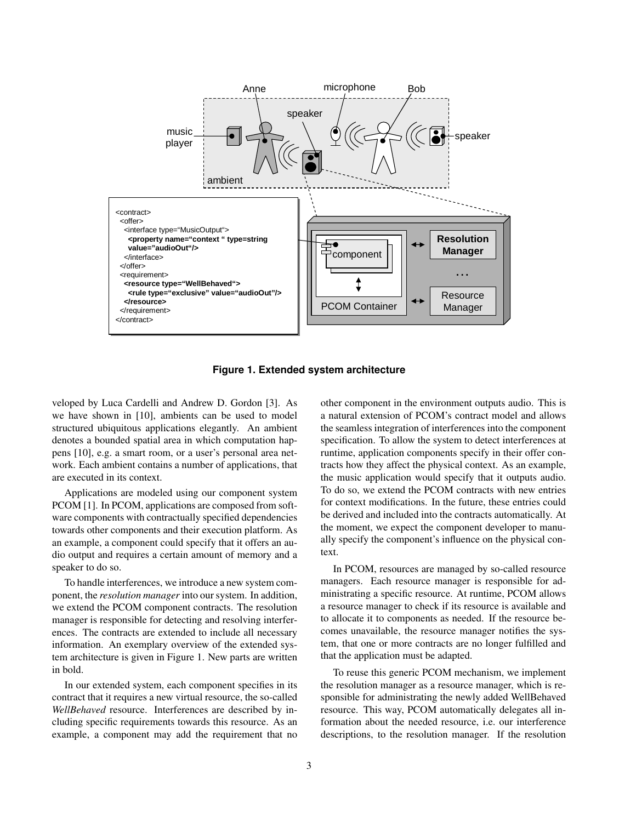

**Figure 1. Extended system architecture**

veloped by Luca Cardelli and Andrew D. Gordon [3]. As we have shown in [10], ambients can be used to model structured ubiquitous applications elegantly. An ambient denotes a bounded spatial area in which computation happens [10], e.g. a smart room, or a user's personal area network. Each ambient contains a number of applications, that are executed in its context.

Applications are modeled using our component system PCOM [1]. In PCOM, applications are composed from software components with contractually specified dependencies towards other components and their execution platform. As an example, a component could specify that it offers an audio output and requires a certain amount of memory and a speaker to do so.

To handle interferences, we introduce a new system component, the *resolution manager* into our system. In addition, we extend the PCOM component contracts. The resolution manager is responsible for detecting and resolving interferences. The contracts are extended to include all necessary information. An exemplary overview of the extended system architecture is given in Figure 1. New parts are written in bold.

In our extended system, each component specifies in its contract that it requires a new virtual resource, the so-called *WellBehaved* resource. Interferences are described by including specific requirements towards this resource. As an example, a component may add the requirement that no other component in the environment outputs audio. This is a natural extension of PCOM's contract model and allows the seamless integration of interferences into the component specification. To allow the system to detect interferences at runtime, application components specify in their offer contracts how they affect the physical context. As an example, the music application would specify that it outputs audio. To do so, we extend the PCOM contracts with new entries for context modifications. In the future, these entries could be derived and included into the contracts automatically. At the moment, we expect the component developer to manually specify the component's influence on the physical context.

In PCOM, resources are managed by so-called resource managers. Each resource manager is responsible for administrating a specific resource. At runtime, PCOM allows a resource manager to check if its resource is available and to allocate it to components as needed. If the resource becomes unavailable, the resource manager notifies the system, that one or more contracts are no longer fulfilled and that the application must be adapted.

To reuse this generic PCOM mechanism, we implement the resolution manager as a resource manager, which is responsible for administrating the newly added WellBehaved resource. This way, PCOM automatically delegates all information about the needed resource, i.e. our interference descriptions, to the resolution manager. If the resolution